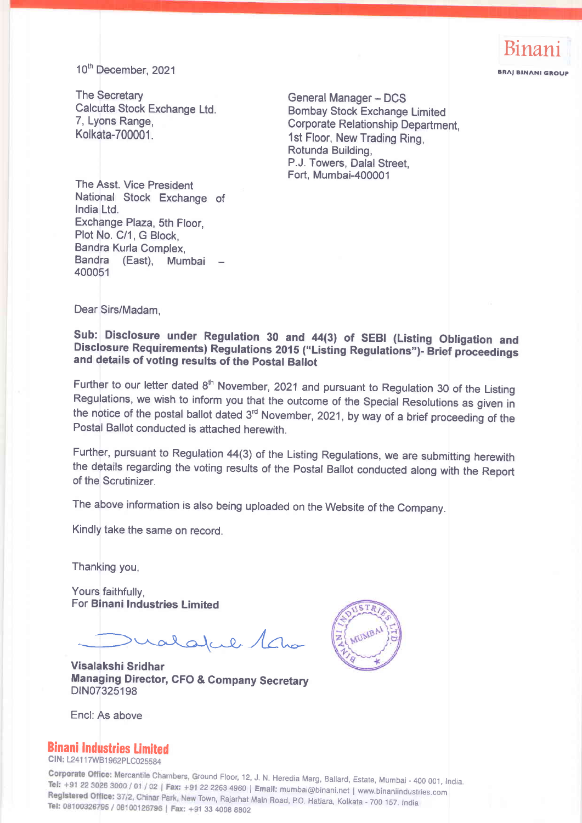

10<sup>th</sup> December, 2021

The Secretary Calcutta Stock Exchange Ltd. 7, Lyons Range, Kolkata-700001.

**General Manager - DCS** Bombay Stock Exchange Limited Corporate Relationship Department, 1st Floor, New Trading Ring, Rotunda Building, P.J. Towers, Dalal Street, Fort, Mumbai-400001

The Asst. Vice President National Stock Exchange of India Ltd. Exchange Plaza, Sth Floor, Plot No. C/1, G Block, Bandra Kurla Complex, Bandra (East), Mumbai 400051

Dear Sirs/Madam,

# Sub: Disclosure under Regulation 30 and 44(3) of SEBI (Listing Obligation and<br>Disclosure Requirements) Regulations 2015 ("Listing Regulations")- Brief proceedings and details of voting results of the postal Baliot

Further to our letter dated  $8<sup>th</sup>$  November, 2021 and pursuant to Regulation 30 of the Listing Regulations, we wish to inform you that the outcome of the Special Resolutions as given in the notice of the postal ballot dated 3<sup>rd</sup> November, 2021, by way of a brief proceeding of the Postal Ballot conducted is attached herewith.

Further, pursuant to Regulation 44(3) of the Listing Regulations, we are submitting herewith the details regarding the voting results of the Postal Ballot conducted along with the Report of the Scrutinizer.

The above information is also being uploaded on the Website of the Company.

Kindly take the same on record.

Thanking you,

Yours faithfully, For Binani Industries Limited

 $l$ alcele 1 $a$ 

Visalakshi Sridhar Managing Director, CFO & Company Secretary DIN07325198



Encl:As above

### Binani Industries limited

CIN: L24117WB1962PLC025584

Corporate Office: Mercantile Chambers, Ground Floor, 12, J. N. Heredia Marg, Ballard, Estate, Mumbai - 400 001, India. Tel: +91 22 3026 3000 / 01 / 02 | Fax: +91 22 2263 4960 | Email: mumbai@binani.net | www.binaniindustries.com Registered Office: 37/2, Chinar Park, New Town, Rajarhat Main Road, P.O. Hatiara, Kolkata - 700 157. India Tel: 08100326795 / 08100126796 | Fax: +91 33 4008 8802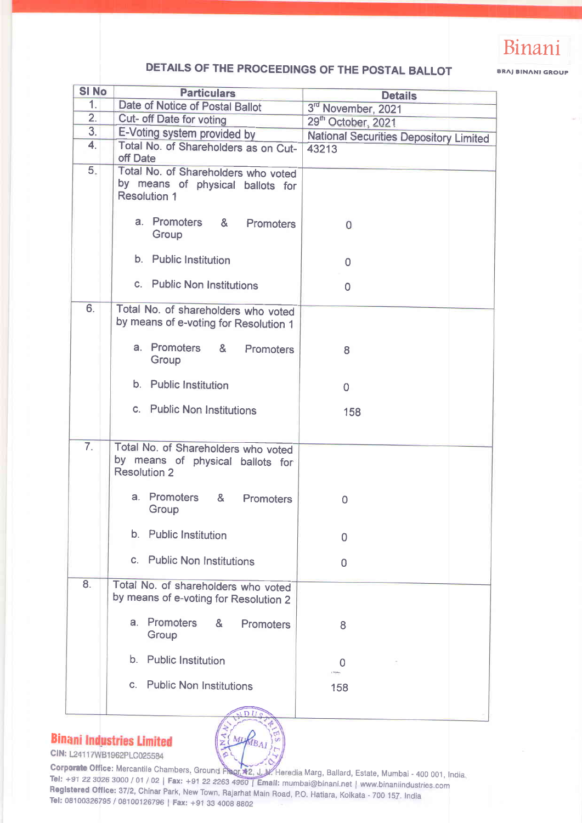

## DETAILS OF THE PROCEEDINGS OF THE POSTAL BALLOT

BRAJ BINANI GROUP

| <b>SI No</b>     | <b>Particulars</b>                                                                             | <b>Details</b>                                |
|------------------|------------------------------------------------------------------------------------------------|-----------------------------------------------|
| 1.               | Date of Notice of Postal Ballot                                                                | 3rd November, 2021                            |
| 2.               | Cut- off Date for voting                                                                       | 29 <sup>th</sup> October, 2021                |
| 3.               | E-Voting system provided by                                                                    | <b>National Securities Depository Limited</b> |
| 4.               | Total No. of Shareholders as on Cut-<br>off Date                                               | 43213                                         |
| 5.               | Total No. of Shareholders who voted<br>by means of physical ballots for<br><b>Resolution 1</b> |                                               |
|                  | a. Promoters & Promoters<br>Group                                                              | 0                                             |
|                  | b. Public Institution                                                                          | 0                                             |
|                  | c. Public Non Institutions                                                                     | $\overline{0}$                                |
| 6.               | Total No. of shareholders who voted<br>by means of e-voting for Resolution 1                   |                                               |
|                  | a. Promoters & Promoters<br>Group                                                              | 8                                             |
|                  | b. Public Institution                                                                          | $\mathbf 0$                                   |
|                  | c. Public Non Institutions                                                                     | 158                                           |
| $\overline{7}$ . | Total No. of Shareholders who voted<br>by means of physical ballots for<br><b>Resolution 2</b> |                                               |
|                  | a. Promoters &<br>Promoters<br>Group                                                           | 0                                             |
|                  | b. Public Institution                                                                          | 0                                             |
|                  | c. Public Non Institutions                                                                     | $\mathbf{0}$                                  |
| 8.               | Total No. of shareholders who voted<br>by means of e-voting for Resolution 2                   |                                               |
|                  | <b>Promoters</b><br>a.<br>&<br><b>Promoters</b><br>Group                                       | 8                                             |
|                  | b. Public Institution                                                                          | 0                                             |
|                  | c. Public Non Institutions                                                                     | 158                                           |
|                  |                                                                                                |                                               |

### **Binani Industries Limited**

E (MURBAI

CIN: L24117WB1962PLC025584

Corporate Office: Mercantile Chambers, Ground Pisor, +2, J. W. Heredia Marg, Ballard, Estate, Mumbai - 400 001, India<br>Tel: +91 22 3026 3000 / 01 / 02 | Fax: +91 22 2263 4960 | Email: mumbai@binani.net | www.binaniindustrie Tel: +91 22 3026 3000 / 01 / 02 | Fax: +91 22 2263 4960 | Email: mumbai@binani.net | www.binaniindustries.com<br>Registered Office: 37/2, Chinar Park, New Town, Rajarhat Main Road, P.O. Hatiara, Kolkata - 700 157. India<br>Tel: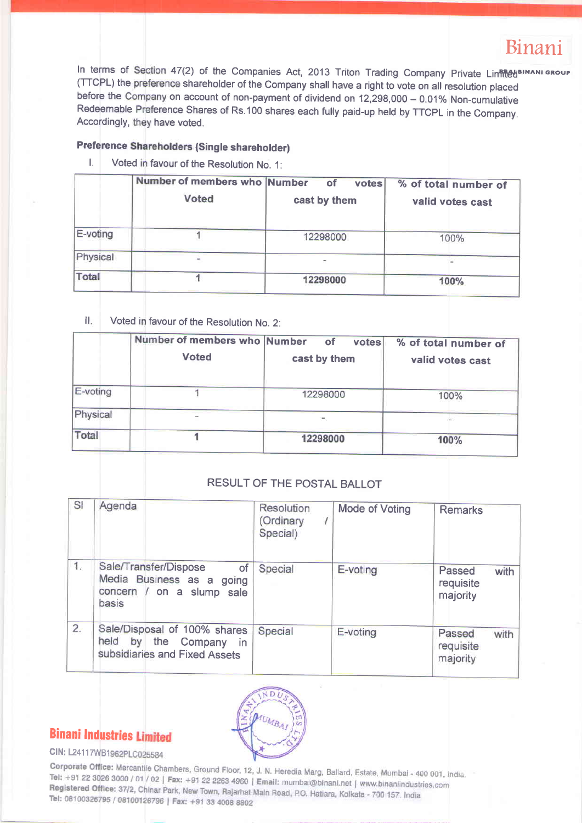# Binani

In terms of Section 47(2) of the Companies Act, 2013 Triton Trading Company Private Linfil@UBINANIGROUI (TTCPL) the preference shareholder of the Company shall have a right to vote on all resolution placed before the Company on account of non-payment of dividend on 12,298,000 – 0.01% Non-cumulative<br>Bedeemship Bufarrare Ol Redeemable Preference Shares of Rs.100 shares each fully paid-up held by TTCPL in the Company Accordingly, they have voted.

#### Preference Shareholders (Single shareholder)

I. Voted in favour of the Resolution No. 1:

|          | Number of members who Number | <b>of</b><br>votes | % of total number of |
|----------|------------------------------|--------------------|----------------------|
|          | <b>Voted</b>                 | cast by them       | valid votes cast     |
| E-voting |                              | 12298000           | 100%                 |
| Physical |                              |                    |                      |
| Total    |                              | 12298000           | 100%                 |

II. Voted in favour of the Resolution No. 2:

|          | Number of members who Number<br><b>Voted</b> | of<br>votes<br>cast by them | % of total number of<br>valid votes cast |
|----------|----------------------------------------------|-----------------------------|------------------------------------------|
| E-voting |                                              | 12298000                    | 100%                                     |
| Physical |                                              |                             |                                          |
| Total    |                                              | 12298000                    | 100%                                     |

#### RESULT OF THE POSTAL BALLOT

| SI | Agenda                                                                                                   | Resolution<br>(Ordinary<br>Special) | <b>Mode of Voting</b> | <b>Remarks</b>                          |
|----|----------------------------------------------------------------------------------------------------------|-------------------------------------|-----------------------|-----------------------------------------|
| 1. | Sale/Transfer/Dispose<br><b>of</b><br>Media Business as a<br>going<br>concern / on a slump sale<br>basis | Special                             | E-voting              | Passed<br>with<br>requisite<br>majority |
| 2. | Sale/Disposal of 100% shares<br>held<br>by<br>the Company<br><i>in</i><br>subsidiaries and Fixed Assets  | Special                             | E-voting              | Passed<br>with<br>requisite<br>majority |



## **Binani Industries Limited**

### CIN: L24117WB1962PLC025584

Corporate Office: Mercantile Chambers, Ground Floor, 12, J. N. Heredia Marg, Ballard, Estate, Mumbai - 400 001, India. Tel: +91 22 3026 3000 / 01 / 02 | Fax: +91 22 2263 4960 | Email: mumbai@binani.net | www.binaniindustries.com<br>Registered Office: 37/2, Chinar Park: Now Taure Pictoria Email: mumbai@binani.net | www.binaniindustries.com Registered Office: 37/2, Chinar Park, New Town, Rajarhat Main Road, P.O. Hatiara, Kolkata - 700 157, India<br>Tel: 08100326795 / 08100136796 | Equito Diamond Park, New Town, Rajarhat Main Road, P.O. Hatiara, Kolkata - 700 157 Tel: 08100326795 / 08100126796 | Fax: +91 33 4008 8802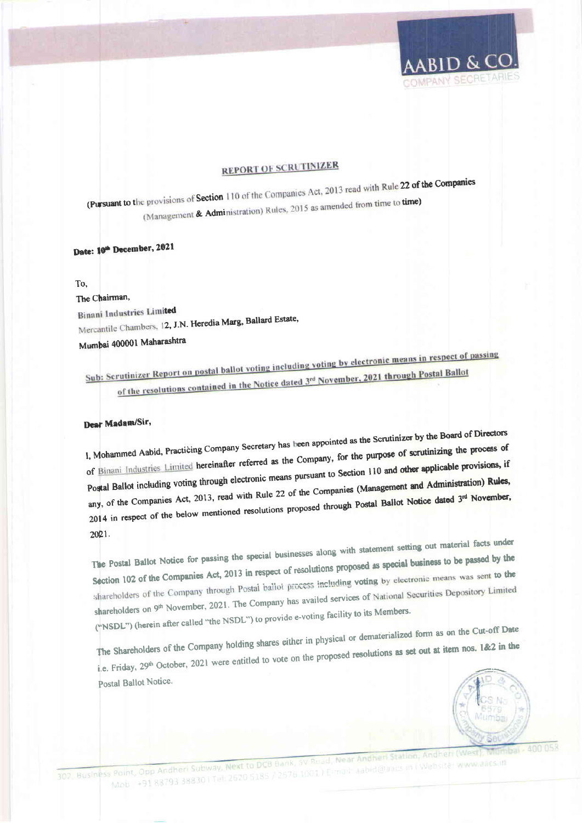

## **REPORT OF SCRUTINIZER**

(Pursuant to the provisions of Section 110 of the Companies Act, 2013 read with Rule 22 of the Companies (Management & Administration) Rules, 2015 as amended from time to time)

## Date: 10th December, 2021

#### To.

The Chairman.

**Binani Industries Limited** 

Mercantile Chambers, 12, J.N. Heredia Marg, Ballard Estate,

Mumbai 400001 Maharashtra

Sub: Scrutinizer Report on postal ballot voting including voting by electronic means in respect of passing of the resolutions contained in the Notice dated 3rd November, 2021 through Postal Ballot

### Dear Madam/Sir,

I, Mohammed Aabid, Practicing Company Secretary has been appointed as the Scrutinizer by the Board of Directors of Binani Industries Limited hereinafter referred as the Company, for the purpose of scrutinizing the process of Postal Ballot including voting through electronic means pursuant to Section 110 and other applicable provisions, if any, of the Companies Act, 2013, read with Rule 22 of the Companies (Management and Administration) Rules, 2014 in respect of the below mentioned resolutions proposed through Postal Ballot Notice dated 3<sup>rd</sup> November,  $2021.$ 

The Postal Ballot Notice for passing the special businesses along with statement setting out material facts under Section 102 of the Companies Act, 2013 in respect of resolutions proposed as special business to be passed by the shareholders of the Company through Postal ballot process including voting by electronic means was sent to the shareholders on 9<sup>th</sup> November, 2021. The Company has availed services of National Securities Depository Limited ("NSDL") (herein after called "the NSDL") to provide e-voting facility to its Members.

The Shareholders of the Company holding shares either in physical or dematerialized form as on the Cut-off Date i.e. Friday, 29<sup>th</sup> October, 2021 were entitled to vote on the proposed resolutions as set out at item nos. 1&2 in the Postal Ballot Notice.



302. Business Point, Opp Andheri Subway. Next to DCB Bank, SV Road, Near Andheri Station, Andheri (West Mob +91 88793 38830 | Tel: 2620 5185 / 2676 1001 | E-mail: aabid@aacs.in | Website: www.aacs.in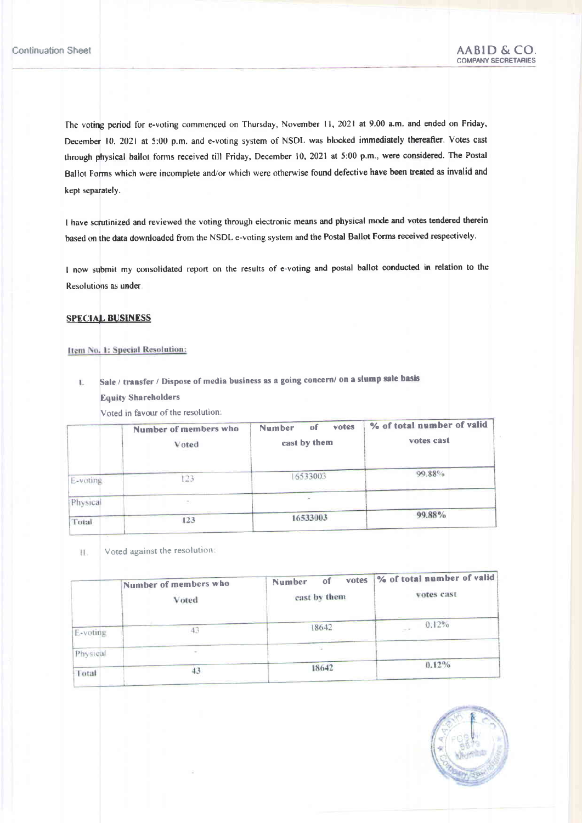The voting period for e-voting commenced on Thursday, November 11, 2021 at 9.00 a.m. and ended on Friday, December 10, 2021 at 5:00 p.m. and e-voting system of NSDL was blocked immediately thereafter. Votes cast through physical ballot forms received till Friday, December 10, 2021 at 5:00 p.m., were considered. The Postal Ballot Forms which were incomplete and/or which were otherwise found defective have been treated as invalid and kept separately.

I have scrutinized and reviewed the voting through electronic means and physical mode and votes tendered therein based m the data downloaded from the NSDL e-voting system and the Postal Ballot Forms received respectively.

I now submit my consolidated report on the results of e-voting and postal ballot conducted in relation to the Resolutions as under

#### **SPECIAL BUSINESS**

#### Item No. 1: Special Resolution:

Sale / transfer / Dispose of media business as a going concern/ on a slump sale basis L. Equify Shareholders

Voted in favour of the resolution:

|          | Number of members who<br>Voted | votes<br><b>Number</b><br>of<br>cast by them | % of total number of valid<br>votes cast |
|----------|--------------------------------|----------------------------------------------|------------------------------------------|
| E-voting | 123                            | 16533003                                     | 99.88%                                   |
| Physical | $\sim$                         |                                              |                                          |
| Total    | 123                            | 16533003                                     | 99.88%                                   |

Voted against the resolution: 11.

|          | Number of members who<br>Voted | votes<br>οf<br>Number<br>cast by them | % of total number of valid<br>votes cast |  |
|----------|--------------------------------|---------------------------------------|------------------------------------------|--|
| E-voting |                                | 18642                                 | 0.12%<br>$\sim 10^{-10}$                 |  |
| Physical |                                |                                       |                                          |  |
| Total    |                                | 18642                                 | $0.12\%$                                 |  |

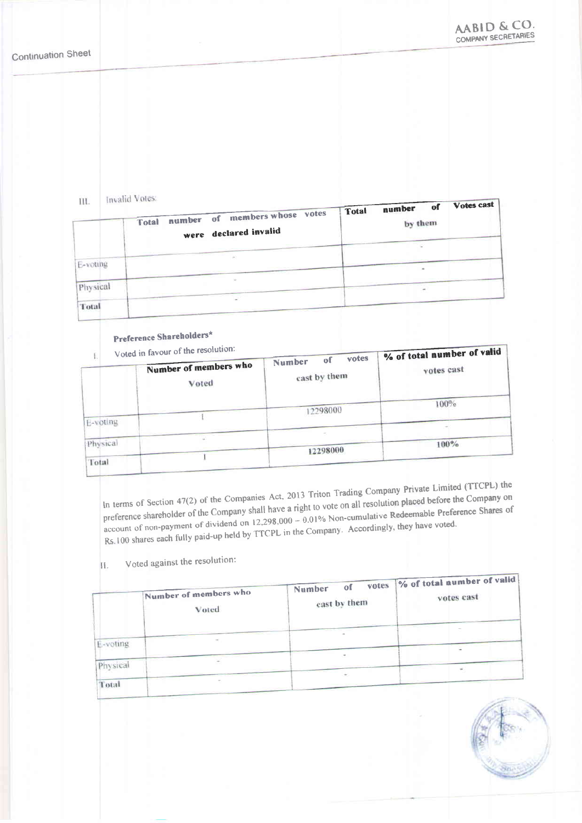$\overline{111}$ Invalid Votes:

| 1.1.1.   | THE R. ERA P.M. C. LEWIS CO., LANSING.<br>number of members whose votes<br>Total<br>were declared invalid | <b>Total</b> | number of<br>by them | Votes cast |
|----------|-----------------------------------------------------------------------------------------------------------|--------------|----------------------|------------|
| E-voting | $\langle m \rangle$                                                                                       |              |                      |            |
| Physical | $\sim$                                                                                                    |              |                      |            |
| Total    |                                                                                                           |              |                      |            |

## Preference Shareholders\*

Voted in favour of the resolution:

|          | Voted in favour of the resolution: | % of total number of valid            |            |  |
|----------|------------------------------------|---------------------------------------|------------|--|
|          | Number of members who<br>Voted     | votes<br>οf<br>Number<br>cast by them | votes cast |  |
|          |                                    | 12298000                              | 100%       |  |
| E-voting |                                    |                                       |            |  |
| Physical |                                    | 12298000                              | $100\%$    |  |
| Total    |                                    |                                       |            |  |

In terms of Section 47(2) of the Companies Act, 2013 Triton Trading Company Private Limited (TTCPL) the preference shareholder of the Company shall have a right to vote on all resolution placed before the Company on account of non-payment of dividend on 12,298,000 – 0.01% Non-cumulative Redeemable Preference Shares of Rs.100 shares each fully paid-up held by TTCPL in the Company. Accordingly, they have voted.

Voted against the resolution: П.

|          | Number of members who<br>Voted | votes<br>of<br>Number<br>cast by them | % of total number of valid<br>votes cast |
|----------|--------------------------------|---------------------------------------|------------------------------------------|
| E-voting |                                |                                       |                                          |
| Physical |                                | $\sim$<br>÷                           |                                          |
| Total    |                                |                                       |                                          |

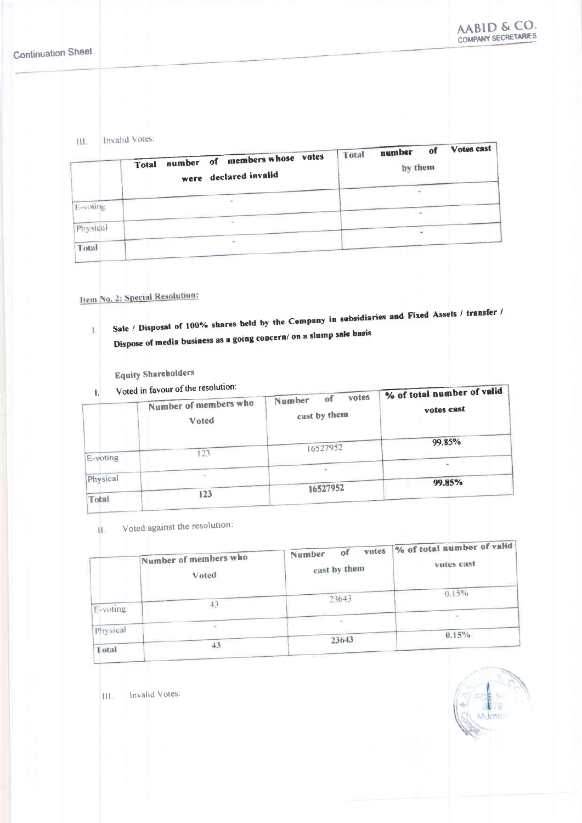Invalid Votes: III.

| 111.     | THARTING A POWER<br>number of members whose votes<br>Total<br>were declared invalid | Total | - of<br>number<br>by them | Votes cast |
|----------|-------------------------------------------------------------------------------------|-------|---------------------------|------------|
| E-voting |                                                                                     |       |                           |            |
| Physical | ٠.                                                                                  |       |                           |            |
| Total    | CH.                                                                                 |       |                           |            |

## Item No. 2: Special Resolution:

Sale / Disposal of 100% shares held by the Company in subsidiaries and Fixed Assets / transfer / L Dispose of media business as a going concern/ on a slump sale basis

### **Equity Shareholders**

Voted in favour of the resolution:

| ŧ.           | Voted in favour of the resolution:<br>Number of members who<br>Voted | votes<br>ΘÏ<br>Number<br>cast by them | % of total number of valid<br>votes cast |  |
|--------------|----------------------------------------------------------------------|---------------------------------------|------------------------------------------|--|
| E-voting     | 123                                                                  | 16527952                              | 99.85%                                   |  |
| Physical     |                                                                      |                                       | 99.85%                                   |  |
| <b>Total</b> | 123                                                                  | 16527952                              |                                          |  |

Voted against the resolution: 红.

|          | Number of members who<br>Voted | votes<br>οf<br>Number<br>cast by them | % of total number of valid<br>votes cast |
|----------|--------------------------------|---------------------------------------|------------------------------------------|
| E-voting |                                | 23643                                 | 0.15%                                    |
| Physical |                                | $\sim$                                | $0.15\%$                                 |
| Total    |                                | 23643                                 |                                          |

III. Invalid Votes: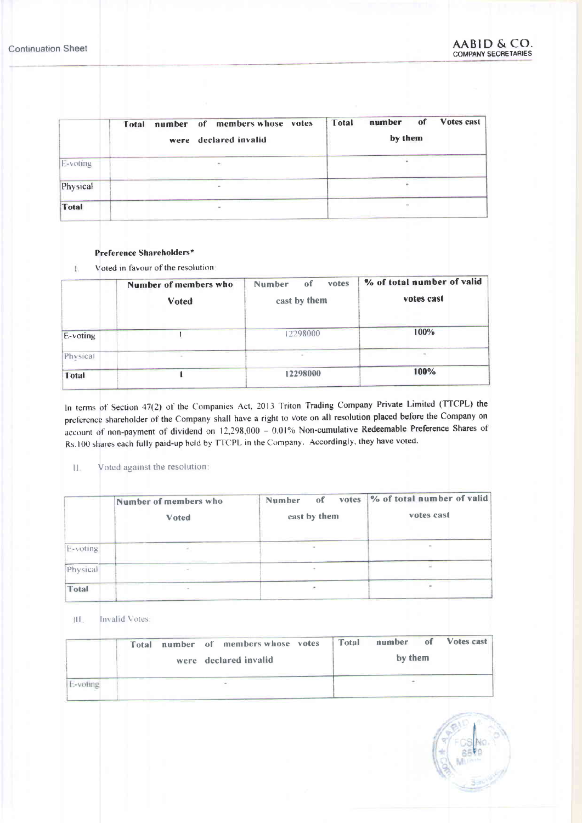t

|              | number of members whose votes<br>Total<br>were declared invalid | Votes cast<br>of<br>number<br>Total<br>by them |  |  |
|--------------|-----------------------------------------------------------------|------------------------------------------------|--|--|
| E-voting     | ÷                                                               |                                                |  |  |
| Physical     |                                                                 |                                                |  |  |
| <b>Total</b> |                                                                 | ٠                                              |  |  |

#### Preference Shareholders\*

Voted in favour of the resolution Ï.

|              | Number of members who<br>Voted | votes<br>of<br>Number<br>cast by them | % of total number of valid<br>votes cast |  |  |
|--------------|--------------------------------|---------------------------------------|------------------------------------------|--|--|
| E-voting     |                                | 12298000                              | 100%                                     |  |  |
| Physical     |                                |                                       |                                          |  |  |
| <b>Total</b> |                                | 12298000                              | 100%                                     |  |  |

In terms of Section 47(2) of the Companies Act, 2013 Triton Trading Company Private Limited (TTCPL) the preference shareholder of the Company shall have a right to vote on all resolution placed before the Company on account of non-payment of dividend on 12.298,000 - 0.01% Non-cumulative Redeemable Preference Shares ot Rs.100 shares each fully paid-up held by TTCPL in the Company. Accordingly, they have voted.

#### ll. Voted against the resolution:

|          | Number of members who<br>Voted | votes<br>Number<br>of<br>cast by them | % of total number of valid<br>votes cast |  |  |
|----------|--------------------------------|---------------------------------------|------------------------------------------|--|--|
| E-voting |                                |                                       |                                          |  |  |
| Physical |                                |                                       |                                          |  |  |
| Total    |                                | ÷                                     |                                          |  |  |

III. Invalid Votes:

| number of members whose votes<br>Total<br>were declared invalid |  | number of Votes cast<br>Total<br>by them |  |  |  |  |
|-----------------------------------------------------------------|--|------------------------------------------|--|--|--|--|
|                                                                 |  |                                          |  |  |  |  |